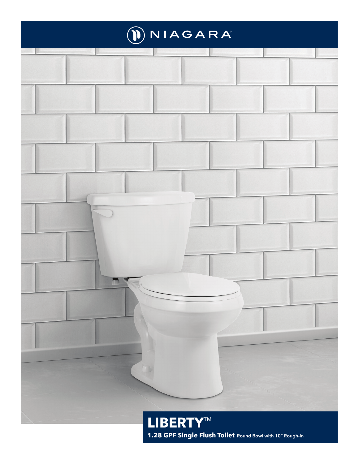

**1.28 GPF Single Flush Toilet Round Bowl with 10" Rough-In**